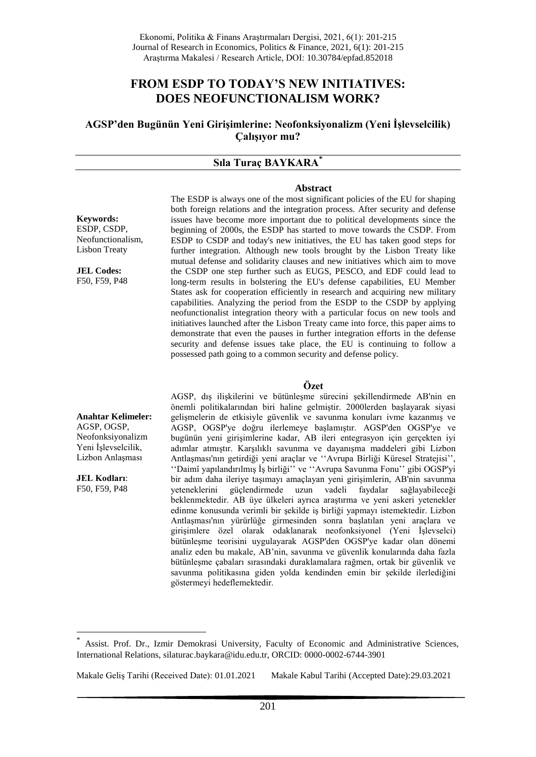# **FROM ESDP TO TODAY'S NEW INITIATIVES: DOES NEOFUNCTIONALISM WORK?**

**AGSP'den Bugünün Yeni Girişimlerine: Neofonksiyonalizm (Yeni İşlevselcilik) Çalışıyor mu?**

#### **Sıla Turaç BAYKARA\***

#### **Abstract**

**Keywords:** ESDP, CSDP, Neofunctionalism, Lisbon Treaty

**JEL Codes:** F50, F59, P48 The ESDP is always one of the most significant policies of the EU for shaping both foreign relations and the integration process. After security and defense issues have become more important due to political developments since the beginning of 2000s, the ESDP has started to move towards the CSDP. From ESDP to CSDP and today's new initiatives, the EU has taken good steps for further integration. Although new tools brought by the Lisbon Treaty like mutual defense and solidarity clauses and new initiatives which aim to move the CSDP one step further such as EUGS, PESCO, and EDF could lead to long-term results in bolstering the EU's defense capabilities, EU Member States ask for cooperation efficiently in research and acquiring new military capabilities. Analyzing the period from the ESDP to the CSDP by applying neofunctionalist integration theory with a particular focus on new tools and initiatives launched after the Lisbon Treaty came into force, this paper aims to demonstrate that even the pauses in further integration efforts in the defense security and defense issues take place, the EU is continuing to follow a possessed path going to a common security and defense policy.

#### **Özet**

**Anahtar Kelimeler:** AGSP, OGSP, Neofonksiyonalizm Yeni İşlevselcilik, Lizbon Anlaşması

**JEL Kodları**: F50, F59, P48

1

AGSP, dış ilişkilerini ve bütünleşme sürecini şekillendirmede AB'nin en önemli politikalarından biri haline gelmiştir. 2000lerden başlayarak siyasi gelişmelerin de etkisiyle güvenlik ve savunma konuları ivme kazanmış ve AGSP, OGSP'ye doğru ilerlemeye başlamıştır. AGSP'den OGSP'ye ve bugünün yeni girişimlerine kadar, AB ileri entegrasyon için gerçekten iyi adımlar atmıştır. Karşılıklı savunma ve dayanışma maddeleri gibi Lizbon Antlaşması'nın getirdiği yeni araçlar ve ''Avrupa Birliği Küresel Stratejisi'', ''Daimî yapılandırılmış İş birliği'' ve ''Avrupa Savunma Fonu'' gibi OGSP'yi bir adım daha ileriye taşımayı amaçlayan yeni girişimlerin, AB'nin savunma yeteneklerini güçlendirmede uzun vadeli faydalar sağlayabileceği beklenmektedir. AB üye ülkeleri ayrıca araştırma ve yeni askeri yetenekler edinme konusunda verimli bir şekilde iş birliği yapmayı istemektedir. Lizbon Antlaşması'nın yürürlüğe girmesinden sonra başlatılan yeni araçlara ve girişimlere özel olarak odaklanarak neofonksiyonel (Yeni İşlevselci) bütünleşme teorisini uygulayarak AGSP'den OGSP'ye kadar olan dönemi analiz eden bu makale, AB'nin, savunma ve güvenlik konularında daha fazla bütünleşme çabaları sırasındaki duraklamalara rağmen, ortak bir güvenlik ve savunma politikasına giden yolda kendinden emin bir şekilde ilerlediğini göstermeyi hedeflemektedir.

Makale Geliş Tarihi (Received Date): 01.01.2021 Makale Kabul Tarihi (Accepted Date):29.03.2021

<sup>\*</sup> Assist. Prof. Dr., Izmir Demokrasi University, Faculty of Economic and Administrative Sciences, International Relations, silaturac.baykara@idu.edu.tr, ORCID: 0000-0002-6744-3901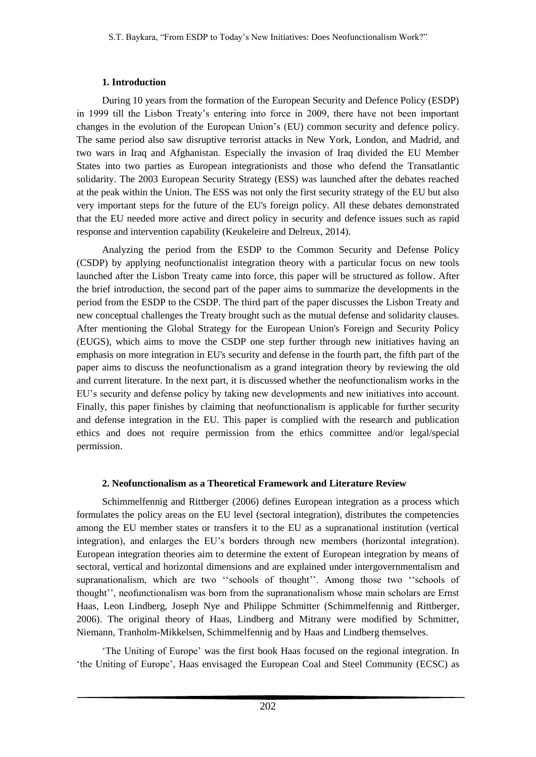## **1. Introduction**

During 10 years from the formation of the European Security and Defence Policy (ESDP) in 1999 till the Lisbon Treaty's entering into force in 2009, there have not been important changes in the evolution of the European Union's (EU) common security and defence policy. The same period also saw disruptive terrorist attacks in New York, London, and Madrid, and two wars in Iraq and Afghanistan. Especially the invasion of Iraq divided the EU Member States into two parties as European integrationists and those who defend the Transatlantic solidarity. The 2003 European Security Strategy (ESS) was launched after the debates reached at the peak within the Union. The ESS was not only the first security strategy of the EU but also very important steps for the future of the EU's foreign policy. All these debates demonstrated that the EU needed more active and direct policy in security and defence issues such as rapid response and intervention capability (Keukeleire and Delreux, 2014).

Analyzing the period from the ESDP to the Common Security and Defense Policy (CSDP) by applying neofunctionalist integration theory with a particular focus on new tools launched after the Lisbon Treaty came into force, this paper will be structured as follow. After the brief introduction, the second part of the paper aims to summarize the developments in the period from the ESDP to the CSDP. The third part of the paper discusses the Lisbon Treaty and new conceptual challenges the Treaty brought such as the mutual defense and solidarity clauses. After mentioning the Global Strategy for the European Union's Foreign and Security Policy (EUGS), which aims to move the CSDP one step further through new initiatives having an emphasis on more integration in EU's security and defense in the fourth part, the fifth part of the paper aims to discuss the neofunctionalism as a grand integration theory by reviewing the old and current literature. In the next part, it is discussed whether the neofunctionalism works in the EU's security and defense policy by taking new developments and new initiatives into account. Finally, this paper finishes by claiming that neofunctionalism is applicable for further security and defense integration in the EU. This paper is complied with the research and publication ethics and does not require permission from the ethics committee and/or legal/special permission.

## **2. Neofunctionalism as a Theoretical Framework and Literature Review**

Schimmelfennig and Rittberger (2006) defines European integration as a process which formulates the policy areas on the EU level (sectoral integration), distributes the competencies among the EU member states or transfers it to the EU as a supranational institution (vertical integration), and enlarges the EU's borders through new members (horizontal integration). European integration theories aim to determine the extent of European integration by means of sectoral, vertical and horizontal dimensions and are explained under intergovernmentalism and supranationalism, which are two ''schools of thought''. Among those two ''schools of thought'', neofunctionalism was born from the supranationalism whose main scholars are Ernst Haas, Leon Lindberg, Joseph Nye and Philippe Schmitter (Schimmelfennig and Rittberger, 2006). The original theory of Haas, Lindberg and Mitrany were modified by Schmitter, Niemann, Tranholm-Mikkelsen, Schimmelfennig and by Haas and Lindberg themselves.

'The Uniting of Europe' was the first book Haas focused on the regional integration. In 'the Uniting of Europe', Haas envisaged the European Coal and Steel Community (ECSC) as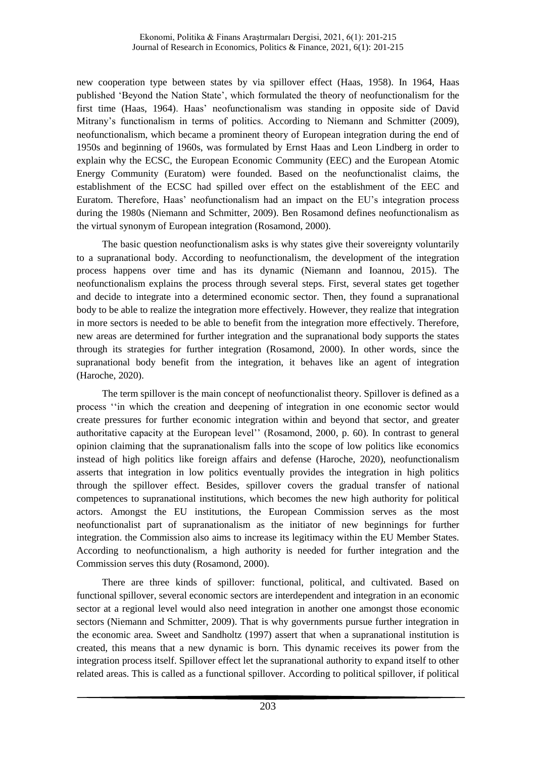new cooperation type between states by via spillover effect (Haas, 1958). In 1964, Haas published 'Beyond the Nation State', which formulated the theory of neofunctionalism for the first time (Haas, 1964). Haas' neofunctionalism was standing in opposite side of David Mitrany's functionalism in terms of politics. According to Niemann and Schmitter (2009), neofunctionalism, which became a prominent theory of European integration during the end of 1950s and beginning of 1960s, was formulated by Ernst Haas and Leon Lindberg in order to explain why the ECSC, the European Economic Community (EEC) and the European Atomic Energy Community (Euratom) were founded. Based on the neofunctionalist claims, the establishment of the ECSC had spilled over effect on the establishment of the EEC and Euratom. Therefore, Haas' neofunctionalism had an impact on the EU's integration process during the 1980s (Niemann and Schmitter, 2009). Ben Rosamond defines neofunctionalism as the virtual synonym of European integration (Rosamond, 2000).

The basic question neofunctionalism asks is why states give their sovereignty voluntarily to a supranational body. According to neofunctionalism, the development of the integration process happens over time and has its dynamic (Niemann and Ioannou, 2015). The neofunctionalism explains the process through several steps. First, several states get together and decide to integrate into a determined economic sector. Then, they found a supranational body to be able to realize the integration more effectively. However, they realize that integration in more sectors is needed to be able to benefit from the integration more effectively. Therefore, new areas are determined for further integration and the supranational body supports the states through its strategies for further integration (Rosamond, 2000). In other words, since the supranational body benefit from the integration, it behaves like an agent of integration (Haroche, 2020).

The term spillover is the main concept of neofunctionalist theory. Spillover is defined as a process ''in which the creation and deepening of integration in one economic sector would create pressures for further economic integration within and beyond that sector, and greater authoritative capacity at the European level'' (Rosamond, 2000, p. 60). In contrast to general opinion claiming that the supranationalism falls into the scope of low politics like economics instead of high politics like foreign affairs and defense (Haroche, 2020), neofunctionalism asserts that integration in low politics eventually provides the integration in high politics through the spillover effect. Besides, spillover covers the gradual transfer of national competences to supranational institutions, which becomes the new high authority for political actors. Amongst the EU institutions, the European Commission serves as the most neofunctionalist part of supranationalism as the initiator of new beginnings for further integration. the Commission also aims to increase its legitimacy within the EU Member States. According to neofunctionalism, a high authority is needed for further integration and the Commission serves this duty (Rosamond, 2000).

There are three kinds of spillover: functional, political, and cultivated. Based on functional spillover, several economic sectors are interdependent and integration in an economic sector at a regional level would also need integration in another one amongst those economic sectors (Niemann and Schmitter, 2009). That is why governments pursue further integration in the economic area. Sweet and Sandholtz (1997) assert that when a supranational institution is created, this means that a new dynamic is born. This dynamic receives its power from the integration process itself. Spillover effect let the supranational authority to expand itself to other related areas. This is called as a functional spillover. According to political spillover, if political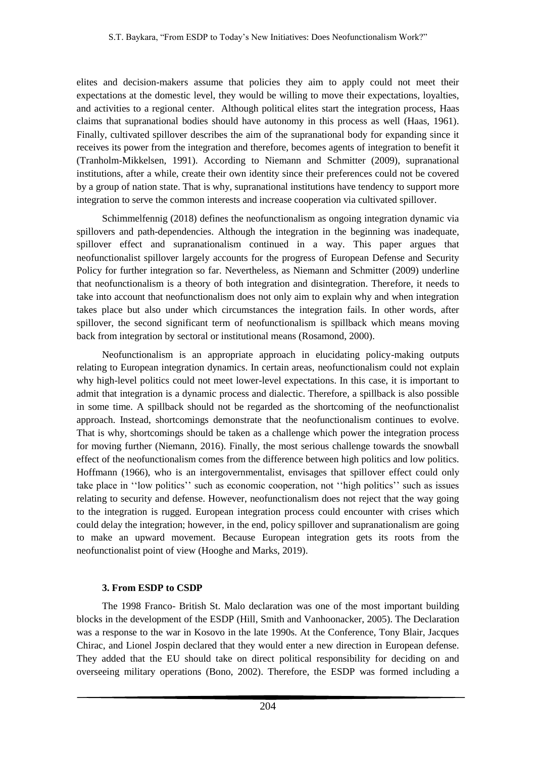elites and decision-makers assume that policies they aim to apply could not meet their expectations at the domestic level, they would be willing to move their expectations, loyalties, and activities to a regional center. Although political elites start the integration process, Haas claims that supranational bodies should have autonomy in this process as well (Haas, 1961). Finally, cultivated spillover describes the aim of the supranational body for expanding since it receives its power from the integration and therefore, becomes agents of integration to benefit it (Tranholm-Mikkelsen, 1991). According to Niemann and Schmitter (2009), supranational institutions, after a while, create their own identity since their preferences could not be covered by a group of nation state. That is why, supranational institutions have tendency to support more integration to serve the common interests and increase cooperation via cultivated spillover.

Schimmelfennig (2018) defines the neofunctionalism as ongoing integration dynamic via spillovers and path-dependencies. Although the integration in the beginning was inadequate, spillover effect and supranationalism continued in a way. This paper argues that neofunctionalist spillover largely accounts for the progress of European Defense and Security Policy for further integration so far. Nevertheless, as Niemann and Schmitter (2009) underline that neofunctionalism is a theory of both integration and disintegration. Therefore, it needs to take into account that neofunctionalism does not only aim to explain why and when integration takes place but also under which circumstances the integration fails. In other words, after spillover, the second significant term of neofunctionalism is spillback which means moving back from integration by sectoral or institutional means (Rosamond, 2000).

Neofunctionalism is an appropriate approach in elucidating policy-making outputs relating to European integration dynamics. In certain areas, neofunctionalism could not explain why high-level politics could not meet lower-level expectations. In this case, it is important to admit that integration is a dynamic process and dialectic. Therefore, a spillback is also possible in some time. A spillback should not be regarded as the shortcoming of the neofunctionalist approach. Instead, shortcomings demonstrate that the neofunctionalism continues to evolve. That is why, shortcomings should be taken as a challenge which power the integration process for moving further (Niemann, 2016). Finally, the most serious challenge towards the snowball effect of the neofunctionalism comes from the difference between high politics and low politics. Hoffmann (1966), who is an intergovernmentalist, envisages that spillover effect could only take place in ''low politics'' such as economic cooperation, not ''high politics'' such as issues relating to security and defense. However, neofunctionalism does not reject that the way going to the integration is rugged. European integration process could encounter with crises which could delay the integration; however, in the end, policy spillover and supranationalism are going to make an upward movement. Because European integration gets its roots from the neofunctionalist point of view (Hooghe and Marks, 2019).

# **3. From ESDP to CSDP**

The 1998 Franco- British St. Malo declaration was one of the most important building blocks in the development of the ESDP (Hill, Smith and Vanhoonacker, 2005). The Declaration was a response to the war in Kosovo in the late 1990s. At the Conference, Tony Blair, Jacques Chirac, and Lionel Jospin declared that they would enter a new direction in European defense. They added that the EU should take on direct political responsibility for deciding on and overseeing military operations (Bono, 2002). Therefore, the ESDP was formed including a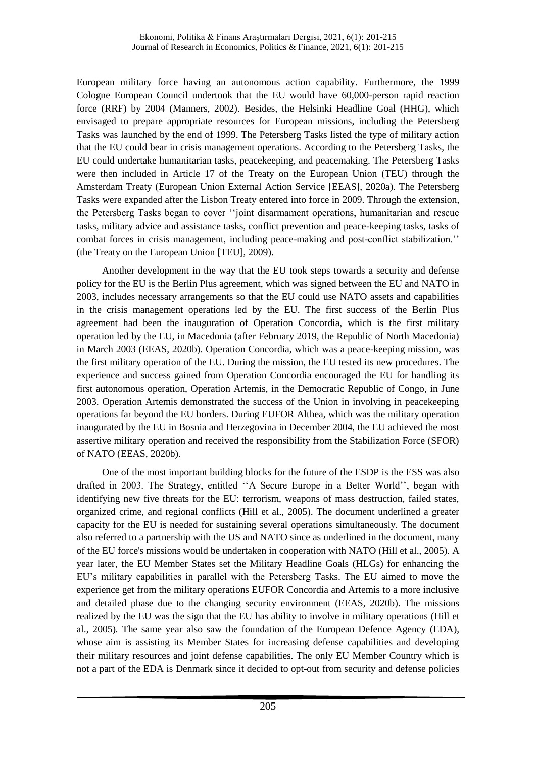European military force having an autonomous action capability. Furthermore, the 1999 Cologne European Council undertook that the EU would have 60,000-person rapid reaction force (RRF) by 2004 (Manners, 2002). Besides, the Helsinki Headline Goal (HHG), which envisaged to prepare appropriate resources for European missions, including the Petersberg Tasks was launched by the end of 1999. The Petersberg Tasks listed the type of military action that the EU could bear in crisis management operations. According to the Petersberg Tasks, the EU could undertake humanitarian tasks, peacekeeping, and peacemaking. The Petersberg Tasks were then included in Article 17 of the Treaty on the European Union (TEU) through the Amsterdam Treaty (European Union External Action Service [EEAS], 2020a). The Petersberg Tasks were expanded after the Lisbon Treaty entered into force in 2009. Through the extension, the Petersberg Tasks began to cover ''joint disarmament operations, humanitarian and rescue tasks, military advice and assistance tasks, conflict prevention and peace-keeping tasks, tasks of combat forces in crisis management, including peace-making and post-conflict stabilization.'' (the Treaty on the European Union [TEU], 2009).

Another development in the way that the EU took steps towards a security and defense policy for the EU is the Berlin Plus agreement, which was signed between the EU and NATO in 2003, includes necessary arrangements so that the EU could use NATO assets and capabilities in the crisis management operations led by the EU. The first success of the Berlin Plus agreement had been the inauguration of Operation Concordia, which is the first military operation led by the EU, in Macedonia (after February 2019, the Republic of North Macedonia) in March 2003 (EEAS, 2020b). Operation Concordia, which was a peace-keeping mission, was the first military operation of the EU. During the mission, the EU tested its new procedures. The experience and success gained from Operation Concordia encouraged the EU for handling its first autonomous operation, Operation Artemis, in the Democratic Republic of Congo, in June 2003. Operation Artemis demonstrated the success of the Union in involving in peacekeeping operations far beyond the EU borders. During EUFOR Althea, which was the military operation inaugurated by the EU in Bosnia and Herzegovina in December 2004, the EU achieved the most assertive military operation and received the responsibility from the Stabilization Force (SFOR) of NATO (EEAS, 2020b).

One of the most important building blocks for the future of the ESDP is the ESS was also drafted in 2003. The Strategy, entitled ''A Secure Europe in a Better World'', began with identifying new five threats for the EU: terrorism, weapons of mass destruction, failed states, organized crime, and regional conflicts (Hill et al., 2005). The document underlined a greater capacity for the EU is needed for sustaining several operations simultaneously. The document also referred to a partnership with the US and NATO since as underlined in the document, many of the EU force's missions would be undertaken in cooperation with NATO (Hill et al., 2005). A year later, the EU Member States set the Military Headline Goals (HLGs) for enhancing the EU's military capabilities in parallel with the Petersberg Tasks. The EU aimed to move the experience get from the military operations EUFOR Concordia and Artemis to a more inclusive and detailed phase due to the changing security environment (EEAS, 2020b). The missions realized by the EU was the sign that the EU has ability to involve in military operations (Hill et al., 2005)*.* The same year also saw the foundation of the European Defence Agency (EDA), whose aim is assisting its Member States for increasing defense capabilities and developing their military resources and joint defense capabilities. The only EU Member Country which is not a part of the EDA is Denmark since it decided to opt-out from security and defense policies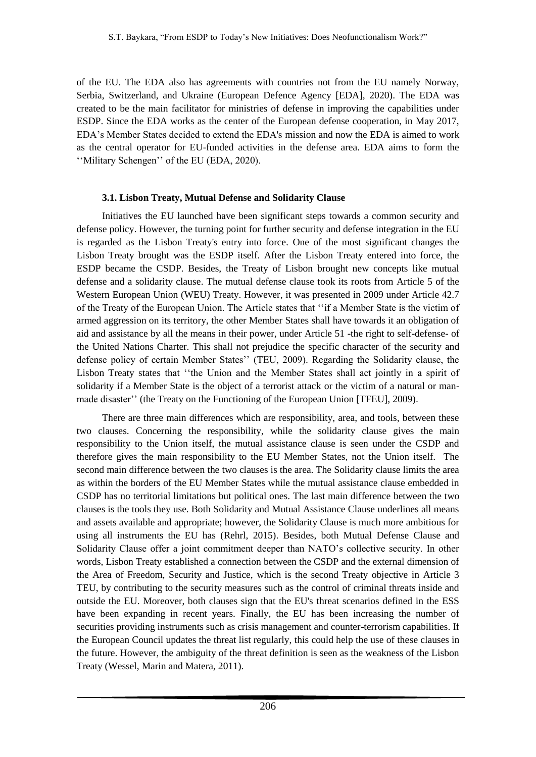of the EU. The EDA also has agreements with countries not from the EU namely Norway, Serbia, Switzerland, and Ukraine (European Defence Agency [EDA], 2020). The EDA was created to be the main facilitator for ministries of defense in improving the capabilities under ESDP. Since the EDA works as the center of the European defense cooperation, in May 2017, EDA's Member States decided to extend the EDA's mission and now the EDA is aimed to work as the central operator for EU-funded activities in the defense area. EDA aims to form the ''Military Schengen'' of the EU (EDA, 2020).

### **3.1. Lisbon Treaty, Mutual Defense and Solidarity Clause**

Initiatives the EU launched have been significant steps towards a common security and defense policy. However, the turning point for further security and defense integration in the EU is regarded as the Lisbon Treaty's entry into force. One of the most significant changes the Lisbon Treaty brought was the ESDP itself. After the Lisbon Treaty entered into force, the ESDP became the CSDP. Besides, the Treaty of Lisbon brought new concepts like mutual defense and a solidarity clause. The mutual defense clause took its roots from Article 5 of the Western European Union (WEU) Treaty. However, it was presented in 2009 under Article 42.7 of the Treaty of the European Union. The Article states that ''if a Member State is the victim of armed aggression on its territory, the other Member States shall have towards it an obligation of aid and assistance by all the means in their power, under Article 51 -the right to self-defense- of the United Nations Charter. This shall not prejudice the specific character of the security and defense policy of certain Member States'' (TEU, 2009). Regarding the Solidarity clause, the Lisbon Treaty states that ''the Union and the Member States shall act jointly in a spirit of solidarity if a Member State is the object of a terrorist attack or the victim of a natural or manmade disaster'' (the Treaty on the Functioning of the European Union [TFEU], 2009).

There are three main differences which are responsibility, area, and tools, between these two clauses. Concerning the responsibility, while the solidarity clause gives the main responsibility to the Union itself, the mutual assistance clause is seen under the CSDP and therefore gives the main responsibility to the EU Member States, not the Union itself. The second main difference between the two clauses is the area. The Solidarity clause limits the area as within the borders of the EU Member States while the mutual assistance clause embedded in CSDP has no territorial limitations but political ones. The last main difference between the two clauses is the tools they use. Both Solidarity and Mutual Assistance Clause underlines all means and assets available and appropriate; however, the Solidarity Clause is much more ambitious for using all instruments the EU has (Rehrl, 2015). Besides, both Mutual Defense Clause and Solidarity Clause offer a joint commitment deeper than NATO's collective security. In other words, Lisbon Treaty established a connection between the CSDP and the external dimension of the Area of Freedom, Security and Justice, which is the second Treaty objective in Article 3 TEU, by contributing to the security measures such as the control of criminal threats inside and outside the EU. Moreover, both clauses sign that the EU's threat scenarios defined in the ESS have been expanding in recent years. Finally, the EU has been increasing the number of securities providing instruments such as crisis management and counter-terrorism capabilities. If the European Council updates the threat list regularly, this could help the use of these clauses in the future. However, the ambiguity of the threat definition is seen as the weakness of the Lisbon Treaty (Wessel, Marin and Matera, 2011).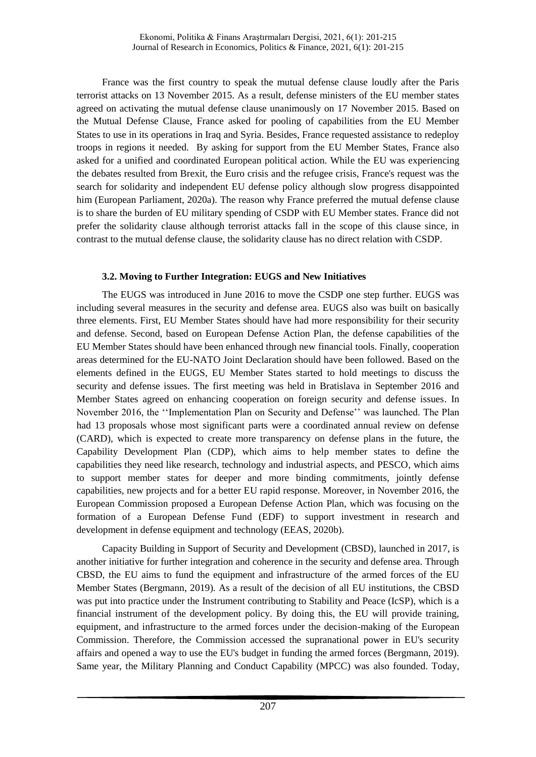France was the first country to speak the mutual defense clause loudly after the Paris terrorist attacks on 13 November 2015. As a result, defense ministers of the EU member states agreed on activating the mutual defense clause unanimously on 17 November 2015. Based on the Mutual Defense Clause, France asked for pooling of capabilities from the EU Member States to use in its operations in Iraq and Syria. Besides, France requested assistance to redeploy troops in regions it needed. By asking for support from the EU Member States, France also asked for a unified and coordinated European political action. While the EU was experiencing the debates resulted from Brexit, the Euro crisis and the refugee crisis, France's request was the search for solidarity and independent EU defense policy although slow progress disappointed him (European Parliament, 2020a). The reason why France preferred the mutual defense clause is to share the burden of EU military spending of CSDP with EU Member states. France did not prefer the solidarity clause although terrorist attacks fall in the scope of this clause since, in contrast to the mutual defense clause, the solidarity clause has no direct relation with CSDP.

### **3.2. Moving to Further Integration: EUGS and New Initiatives**

The EUGS was introduced in June 2016 to move the CSDP one step further. EUGS was including several measures in the security and defense area. EUGS also was built on basically three elements. First, EU Member States should have had more responsibility for their security and defense. Second, based on European Defense Action Plan, the defense capabilities of the EU Member States should have been enhanced through new financial tools. Finally, cooperation areas determined for the EU-NATO Joint Declaration should have been followed. Based on the elements defined in the EUGS, EU Member States started to hold meetings to discuss the security and defense issues. The first meeting was held in Bratislava in September 2016 and Member States agreed on enhancing cooperation on foreign security and defense issues. In November 2016, the ''Implementation Plan on Security and Defense'' was launched. The Plan had 13 proposals whose most significant parts were a coordinated annual review on defense (CARD), which is expected to create more transparency on defense plans in the future, the Capability Development Plan (CDP), which aims to help member states to define the capabilities they need like research, technology and industrial aspects, and PESCO, which aims to support member states for deeper and more binding commitments, jointly defense capabilities, new projects and for a better EU rapid response. Moreover, in November 2016, the European Commission proposed a European Defense Action Plan, which was focusing on the formation of a European Defense Fund (EDF) to support investment in research and development in defense equipment and technology (EEAS, 2020b).

Capacity Building in Support of Security and Development (CBSD), launched in 2017, is another initiative for further integration and coherence in the security and defense area. Through CBSD, the EU aims to fund the equipment and infrastructure of the armed forces of the EU Member States (Bergmann, 2019). As a result of the decision of all EU institutions, the CBSD was put into practice under the Instrument contributing to Stability and Peace (IcSP), which is a financial instrument of the development policy. By doing this, the EU will provide training, equipment, and infrastructure to the armed forces under the decision-making of the European Commission. Therefore, the Commission accessed the supranational power in EU's security affairs and opened a way to use the EU's budget in funding the armed forces (Bergmann, 2019). Same year, the Military Planning and Conduct Capability (MPCC) was also founded. Today,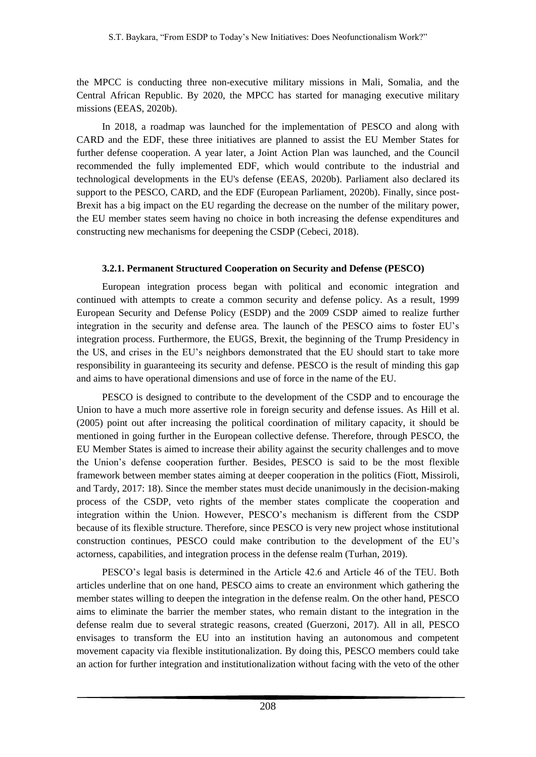the MPCC is conducting three non-executive military missions in Mali, Somalia, and the Central African Republic. By 2020, the MPCC has started for managing executive military missions (EEAS, 2020b).

In 2018, a roadmap was launched for the implementation of PESCO and along with CARD and the EDF, these three initiatives are planned to assist the EU Member States for further defense cooperation. A year later, a Joint Action Plan was launched, and the Council recommended the fully implemented EDF, which would contribute to the industrial and technological developments in the EU's defense (EEAS, 2020b). Parliament also declared its support to the PESCO, CARD, and the EDF (European Parliament, 2020b). Finally, since post-Brexit has a big impact on the EU regarding the decrease on the number of the military power, the EU member states seem having no choice in both increasing the defense expenditures and constructing new mechanisms for deepening the CSDP (Cebeci, 2018).

### **3.2.1. Permanent Structured Cooperation on Security and Defense (PESCO)**

European integration process began with political and economic integration and continued with attempts to create a common security and defense policy. As a result, 1999 European Security and Defense Policy (ESDP) and the 2009 CSDP aimed to realize further integration in the security and defense area. The launch of the PESCO aims to foster EU's integration process. Furthermore, the EUGS, Brexit, the beginning of the Trump Presidency in the US, and crises in the EU's neighbors demonstrated that the EU should start to take more responsibility in guaranteeing its security and defense. PESCO is the result of minding this gap and aims to have operational dimensions and use of force in the name of the EU.

PESCO is designed to contribute to the development of the CSDP and to encourage the Union to have a much more assertive role in foreign security and defense issues. As Hill et al. (2005) point out after increasing the political coordination of military capacity, it should be mentioned in going further in the European collective defense. Therefore, through PESCO, the EU Member States is aimed to increase their ability against the security challenges and to move the Union's defense cooperation further. Besides, PESCO is said to be the most flexible framework between member states aiming at deeper cooperation in the politics (Fiott, Missiroli, and Tardy, 2017: 18). Since the member states must decide unanimously in the decision-making process of the CSDP, veto rights of the member states complicate the cooperation and integration within the Union. However, PESCO's mechanism is different from the CSDP because of its flexible structure. Therefore, since PESCO is very new project whose institutional construction continues, PESCO could make contribution to the development of the EU's actorness, capabilities, and integration process in the defense realm (Turhan, 2019).

PESCO's legal basis is determined in the Article 42.6 and Article 46 of the TEU. Both articles underline that on one hand, PESCO aims to create an environment which gathering the member states willing to deepen the integration in the defense realm. On the other hand, PESCO aims to eliminate the barrier the member states, who remain distant to the integration in the defense realm due to several strategic reasons, created (Guerzoni, 2017). All in all, PESCO envisages to transform the EU into an institution having an autonomous and competent movement capacity via flexible institutionalization. By doing this, PESCO members could take an action for further integration and institutionalization without facing with the veto of the other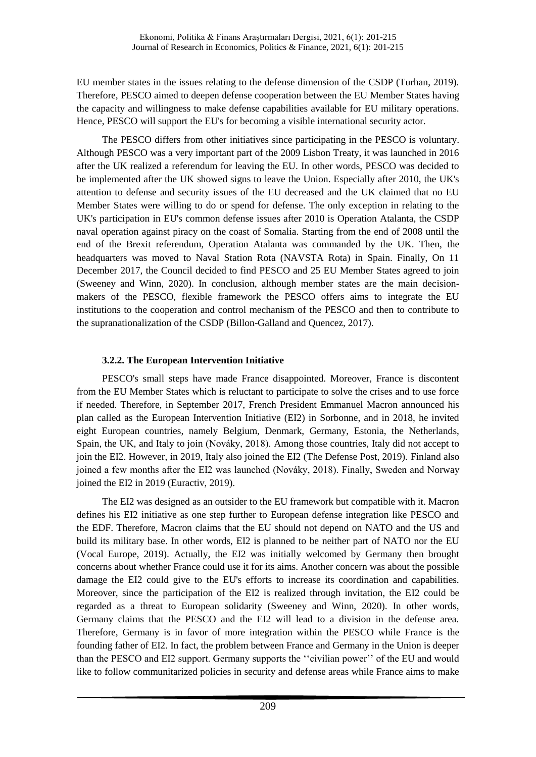EU member states in the issues relating to the defense dimension of the CSDP (Turhan, 2019). Therefore, PESCO aimed to deepen defense cooperation between the EU Member States having the capacity and willingness to make defense capabilities available for EU military operations. Hence, PESCO will support the EU's for becoming a visible international security actor.

The PESCO differs from other initiatives since participating in the PESCO is voluntary. Although PESCO was a very important part of the 2009 Lisbon Treaty, it was launched in 2016 after the UK realized a referendum for leaving the EU. In other words, PESCO was decided to be implemented after the UK showed signs to leave the Union. Especially after 2010, the UK's attention to defense and security issues of the EU decreased and the UK claimed that no EU Member States were willing to do or spend for defense. The only exception in relating to the UK's participation in EU's common defense issues after 2010 is Operation Atalanta, the CSDP naval operation against piracy on the coast of Somalia. Starting from the end of 2008 until the end of the Brexit referendum, Operation Atalanta was commanded by the UK. Then, the headquarters was moved to Naval Station Rota (NAVSTA Rota) in Spain. Finally, On 11 December 2017, the Council decided to find PESCO and 25 EU Member States agreed to join (Sweeney and Winn, 2020). In conclusion, although member states are the main decisionmakers of the PESCO, flexible framework the PESCO offers aims to integrate the EU institutions to the cooperation and control mechanism of the PESCO and then to contribute to the supranationalization of the CSDP (Billon-Galland and Quencez, 2017).

## **3.2.2. The European Intervention Initiative**

PESCO's small steps have made France disappointed. Moreover, France is discontent from the EU Member States which is reluctant to participate to solve the crises and to use force if needed. Therefore, in September 2017, French President Emmanuel Macron announced his plan called as the European Intervention Initiative (EI2) in Sorbonne, and in 2018, he invited eight European countries, namely Belgium, Denmark, Germany, Estonia, the Netherlands, Spain, the UK, and Italy to join (Nováky, 2018). Among those countries, Italy did not accept to join the EI2. However, in 2019, Italy also joined the EI2 (The Defense Post, 2019). Finland also joined a few months after the EI2 was launched (Nováky, 2018). Finally, Sweden and Norway joined the EI2 in 2019 (Euractiv, 2019).

The EI2 was designed as an outsider to the EU framework but compatible with it. Macron defines his EI2 initiative as one step further to European defense integration like PESCO and the EDF. Therefore, Macron claims that the EU should not depend on NATO and the US and build its military base. In other words, EI2 is planned to be neither part of NATO nor the EU (Vocal Europe, 2019). Actually, the EI2 was initially welcomed by Germany then brought concerns about whether France could use it for its aims. Another concern was about the possible damage the EI2 could give to the EU's efforts to increase its coordination and capabilities. Moreover, since the participation of the EI2 is realized through invitation, the EI2 could be regarded as a threat to European solidarity (Sweeney and Winn, 2020). In other words, Germany claims that the PESCO and the EI2 will lead to a division in the defense area. Therefore, Germany is in favor of more integration within the PESCO while France is the founding father of EI2. In fact, the problem between France and Germany in the Union is deeper than the PESCO and EI2 support. Germany supports the ''civilian power'' of the EU and would like to follow communitarized policies in security and defense areas while France aims to make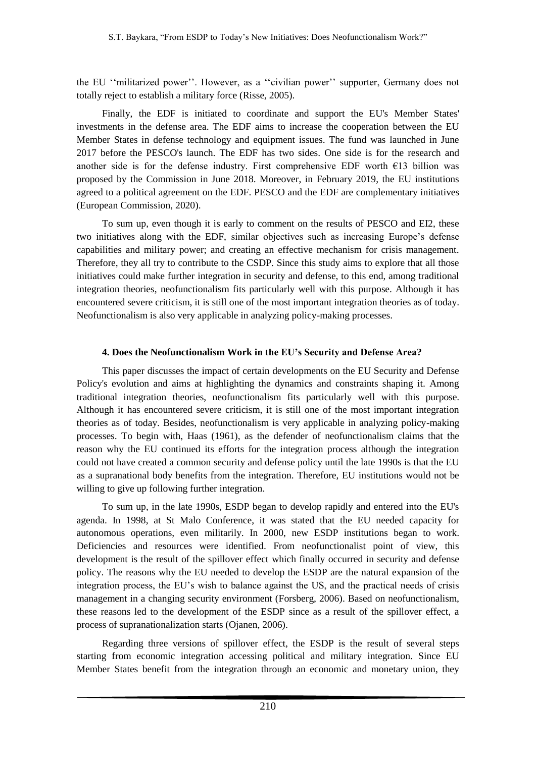the EU ''militarized power''. However, as a ''civilian power'' supporter, Germany does not totally reject to establish a military force (Risse, 2005).

Finally, the EDF is initiated to coordinate and support the EU's Member States' investments in the defense area. The EDF aims to increase the cooperation between the EU Member States in defense technology and equipment issues. The fund was launched in June 2017 before the PESCO's launch. The EDF has two sides. One side is for the research and another side is for the defense industry. First comprehensive EDF worth €13 billion was proposed by the Commission in June 2018. Moreover, in February 2019, the EU institutions agreed to a political agreement on the EDF. PESCO and the EDF are complementary initiatives (European Commission, 2020).

To sum up, even though it is early to comment on the results of PESCO and EI2, these two initiatives along with the EDF, similar objectives such as increasing Europe's defense capabilities and military power; and creating an effective mechanism for crisis management. Therefore, they all try to contribute to the CSDP. Since this study aims to explore that all those initiatives could make further integration in security and defense, to this end, among traditional integration theories, neofunctionalism fits particularly well with this purpose. Although it has encountered severe criticism, it is still one of the most important integration theories as of today. Neofunctionalism is also very applicable in analyzing policy-making processes.

### **4. Does the Neofunctionalism Work in the EU's Security and Defense Area?**

This paper discusses the impact of certain developments on the EU Security and Defense Policy's evolution and aims at highlighting the dynamics and constraints shaping it. Among traditional integration theories, neofunctionalism fits particularly well with this purpose. Although it has encountered severe criticism, it is still one of the most important integration theories as of today. Besides, neofunctionalism is very applicable in analyzing policy-making processes. To begin with, Haas (1961), as the defender of neofunctionalism claims that the reason why the EU continued its efforts for the integration process although the integration could not have created a common security and defense policy until the late 1990s is that the EU as a supranational body benefits from the integration. Therefore, EU institutions would not be willing to give up following further integration.

To sum up, in the late 1990s, ESDP began to develop rapidly and entered into the EU's agenda. In 1998, at St Malo Conference, it was stated that the EU needed capacity for autonomous operations, even militarily. In 2000, new ESDP institutions began to work. Deficiencies and resources were identified. From neofunctionalist point of view, this development is the result of the spillover effect which finally occurred in security and defense policy. The reasons why the EU needed to develop the ESDP are the natural expansion of the integration process, the EU's wish to balance against the US, and the practical needs of crisis management in a changing security environment (Forsberg, 2006). Based on neofunctionalism, these reasons led to the development of the ESDP since as a result of the spillover effect, a process of supranationalization starts (Ojanen, 2006).

Regarding three versions of spillover effect, the ESDP is the result of several steps starting from economic integration accessing political and military integration. Since EU Member States benefit from the integration through an economic and monetary union, they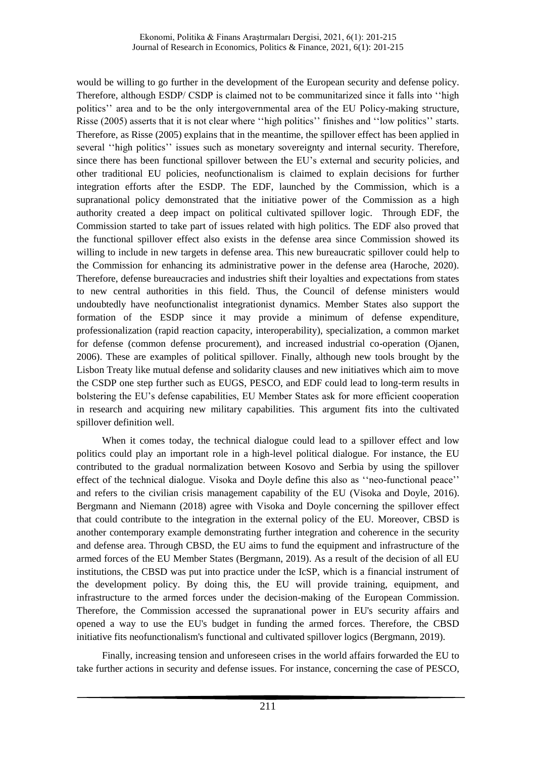would be willing to go further in the development of the European security and defense policy. Therefore, although ESDP/ CSDP is claimed not to be communitarized since it falls into ''high politics'' area and to be the only intergovernmental area of the EU Policy-making structure, Risse (2005) asserts that it is not clear where ''high politics'' finishes and ''low politics'' starts. Therefore, as Risse (2005) explains that in the meantime, the spillover effect has been applied in several ''high politics'' issues such as monetary sovereignty and internal security. Therefore, since there has been functional spillover between the EU's external and security policies, and other traditional EU policies, neofunctionalism is claimed to explain decisions for further integration efforts after the ESDP. The EDF, launched by the Commission, which is a supranational policy demonstrated that the initiative power of the Commission as a high authority created a deep impact on political cultivated spillover logic. Through EDF, the Commission started to take part of issues related with high politics. The EDF also proved that the functional spillover effect also exists in the defense area since Commission showed its willing to include in new targets in defense area. This new bureaucratic spillover could help to the Commission for enhancing its administrative power in the defense area (Haroche, 2020). Therefore, defense bureaucracies and industries shift their loyalties and expectations from states to new central authorities in this field. Thus, the Council of defense ministers would undoubtedly have neofunctionalist integrationist dynamics. Member States also support the formation of the ESDP since it may provide a minimum of defense expenditure, professionalization (rapid reaction capacity, interoperability), specialization, a common market for defense (common defense procurement), and increased industrial co-operation (Ojanen, 2006). These are examples of political spillover. Finally, although new tools brought by the Lisbon Treaty like mutual defense and solidarity clauses and new initiatives which aim to move the CSDP one step further such as EUGS, PESCO, and EDF could lead to long-term results in bolstering the EU's defense capabilities, EU Member States ask for more efficient cooperation in research and acquiring new military capabilities. This argument fits into the cultivated spillover definition well.

When it comes today, the technical dialogue could lead to a spillover effect and low politics could play an important role in a high-level political dialogue. For instance, the EU contributed to the gradual normalization between Kosovo and Serbia by using the spillover effect of the technical dialogue. Visoka and Doyle define this also as ''neo-functional peace'' and refers to the civilian crisis management capability of the EU (Visoka and Doyle, 2016). Bergmann and Niemann (2018) agree with Visoka and Doyle concerning the spillover effect that could contribute to the integration in the external policy of the EU. Moreover, CBSD is another contemporary example demonstrating further integration and coherence in the security and defense area. Through CBSD, the EU aims to fund the equipment and infrastructure of the armed forces of the EU Member States (Bergmann, 2019). As a result of the decision of all EU institutions, the CBSD was put into practice under the IcSP, which is a financial instrument of the development policy. By doing this, the EU will provide training, equipment, and infrastructure to the armed forces under the decision-making of the European Commission. Therefore, the Commission accessed the supranational power in EU's security affairs and opened a way to use the EU's budget in funding the armed forces. Therefore, the CBSD initiative fits neofunctionalism's functional and cultivated spillover logics (Bergmann, 2019).

Finally, increasing tension and unforeseen crises in the world affairs forwarded the EU to take further actions in security and defense issues. For instance, concerning the case of PESCO,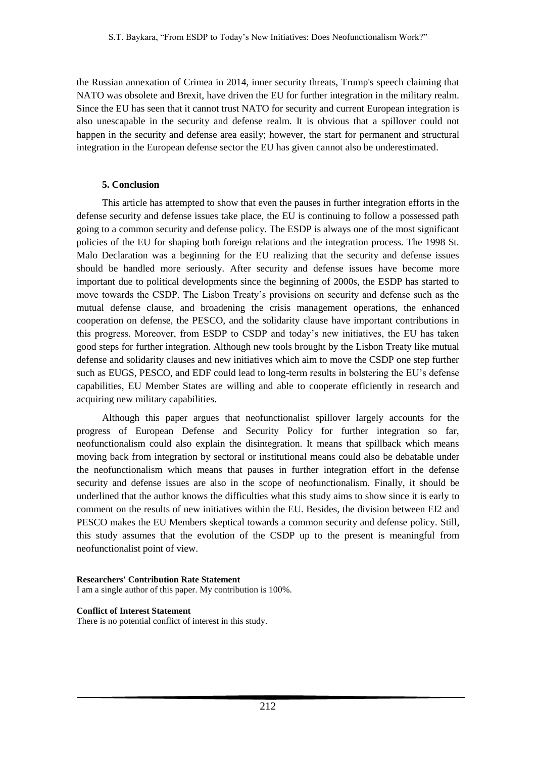the Russian annexation of Crimea in 2014, inner security threats, Trump's speech claiming that NATO was obsolete and Brexit, have driven the EU for further integration in the military realm. Since the EU has seen that it cannot trust NATO for security and current European integration is also unescapable in the security and defense realm. It is obvious that a spillover could not happen in the security and defense area easily; however, the start for permanent and structural integration in the European defense sector the EU has given cannot also be underestimated.

### **5. Conclusion**

This article has attempted to show that even the pauses in further integration efforts in the defense security and defense issues take place, the EU is continuing to follow a possessed path going to a common security and defense policy. The ESDP is always one of the most significant policies of the EU for shaping both foreign relations and the integration process. The 1998 St. Malo Declaration was a beginning for the EU realizing that the security and defense issues should be handled more seriously. After security and defense issues have become more important due to political developments since the beginning of 2000s, the ESDP has started to move towards the CSDP. The Lisbon Treaty's provisions on security and defense such as the mutual defense clause, and broadening the crisis management operations, the enhanced cooperation on defense, the PESCO, and the solidarity clause have important contributions in this progress. Moreover, from ESDP to CSDP and today's new initiatives, the EU has taken good steps for further integration. Although new tools brought by the Lisbon Treaty like mutual defense and solidarity clauses and new initiatives which aim to move the CSDP one step further such as EUGS, PESCO, and EDF could lead to long-term results in bolstering the EU's defense capabilities, EU Member States are willing and able to cooperate efficiently in research and acquiring new military capabilities.

Although this paper argues that neofunctionalist spillover largely accounts for the progress of European Defense and Security Policy for further integration so far, neofunctionalism could also explain the disintegration. It means that spillback which means moving back from integration by sectoral or institutional means could also be debatable under the neofunctionalism which means that pauses in further integration effort in the defense security and defense issues are also in the scope of neofunctionalism. Finally, it should be underlined that the author knows the difficulties what this study aims to show since it is early to comment on the results of new initiatives within the EU. Besides, the division between EI2 and PESCO makes the EU Members skeptical towards a common security and defense policy. Still, this study assumes that the evolution of the CSDP up to the present is meaningful from neofunctionalist point of view.

#### **Researchers' Contribution Rate Statement**

I am a single author of this paper. My contribution is 100%.

#### **Conflict of Interest Statement**

There is no potential conflict of interest in this study.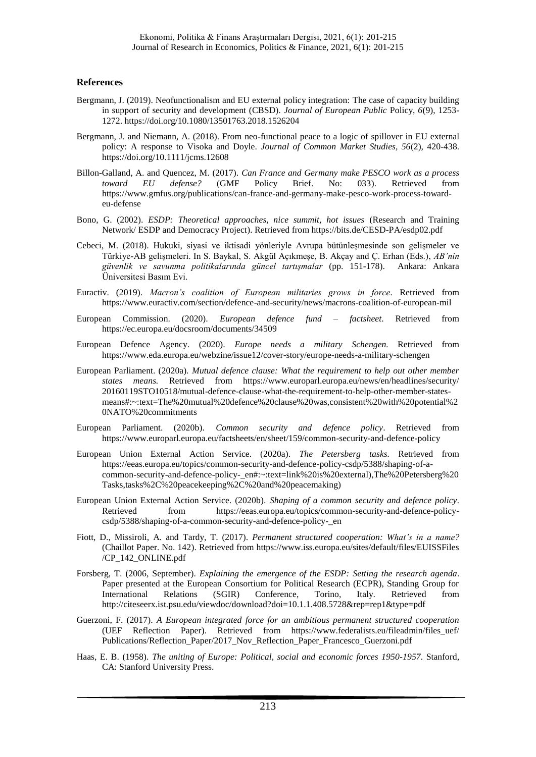#### **References**

- Bergmann, J. (2019). Neofunctionalism and EU external policy integration: The case of capacity building in support of security and development (CBSD). *Journal of European Public* Policy, *6*(9), 1253- 1272. https://doi.org/10.1080/13501763.2018.1526204
- Bergmann, J. and Niemann, A. (2018). From neo-functional peace to a logic of spillover in EU external policy: A response to Visoka and Doyle. *Journal of Common Market Studies, 56*(2), 420-438. https://doi.org/10.1111/jcms.12608
- Billon-Galland, A. and Quencez, M. (2017). *Can France and Germany make PESCO work as a process toward EU defense?* (GMF Policy Brief. No: 033). Retrieved from https://www.gmfus.org/publications/can-france-and-germany-make-pesco-work-process-towardeu-defense
- Bono, G. (2002). *ESDP: Theoretical approaches, nice summit, hot issues* (Research and Training Network/ ESDP and Democracy Project). Retrieved from https://bits.de/CESD-PA/esdp02.pdf
- Cebeci, M. (2018). Hukuki, siyasi ve iktisadi yönleriyle Avrupa bütünleşmesinde son gelişmeler ve Türkiye-AB gelişmeleri. In S. Baykal, S. Akgül Açıkmeşe, B. Akçay and Ç. Erhan (Eds.), *AB'nin güvenlik ve savunma politikalarında güncel tartışmalar* (pp. 151-178). Ankara: Ankara Üniversitesi Basım Evi.
- Euractiv. (2019). *Macron's coalition of European militaries grows in force.* Retrieved from https://www.euractiv.com/section/defence-and-security/news/macrons-coalition-of-european-mil
- European Commission. (2020). *European defence fund – factsheet*. Retrieved from https://ec.europa.eu/docsroom/documents/34509
- European Defence Agency. (2020). *Europe needs a military Schengen.* Retrieved from https://www.eda.europa.eu/webzine/issue12/cover-story/europe-needs-a-military-schengen
- European Parliament. (2020a). *Mutual defence clause: What the requirement to help out other member states means.* Retrieved from https://www.europarl.europa.eu/news/en/headlines/security/ 20160119STO10518/mutual-defence-clause-what-the-requirement-to-help-other-member-statesmeans#:~:text=The%20mutual%20defence%20clause%20was,consistent%20with%20potential%2 0NATO%20commitments
- European Parliament. (2020b). *Common security and defence policy*. Retrieved from https://www.europarl.europa.eu/factsheets/en/sheet/159/common-security-and-defence-policy
- European Union External Action Service. (2020a). *The Petersberg tasks.* Retrieved from https://eeas.europa.eu/topics/common-security-and-defence-policy-csdp/5388/shaping-of-acommon-security-and-defence-policy-\_en#:~:text=link%20is%20external),The%20Petersberg%20 Tasks,tasks%2C%20peacekeeping%2C%20and%20peacemaking)
- European Union External Action Service. (2020b). *Shaping of a common security and defence policy.* Retrieved from https://eeas.europa.eu/topics/common-security-and-defence-policycsdp/5388/shaping-of-a-common-security-and-defence-policy-\_en
- Fiott, D., Missiroli, A. and Tardy, T. (2017). *Permanent structured cooperation: What's in a name?* (Chaillot Paper. No. 142). Retrieved from https://www.iss.europa.eu/sites/default/files/EUISSFiles /CP\_142\_ONLINE.pdf
- Forsberg, T. (2006, September). *Explaining the emergence of the ESDP: Setting the research agenda*. Paper presented at the European Consortium for Political Research (ECPR), Standing Group for International Relations (SGIR) Conference, Torino, Italy. Retrieved from http://citeseerx.ist.psu.edu/viewdoc/download?doi=10.1.1.408.5728&rep=rep1&type=pdf
- Guerzoni, F. (2017). *A European integrated force for an ambitious permanent structured cooperation* (UEF Reflection Paper). Retrieved from https://www.federalists.eu/fileadmin/files\_uef/ Publications/Reflection\_Paper/2017\_Nov\_Reflection\_Paper\_Francesco\_Guerzoni.pdf
- Haas, E. B. (1958). *The uniting of Europe: Political, social and economic forces 1950-1957*. Stanford, CA: Stanford University Press.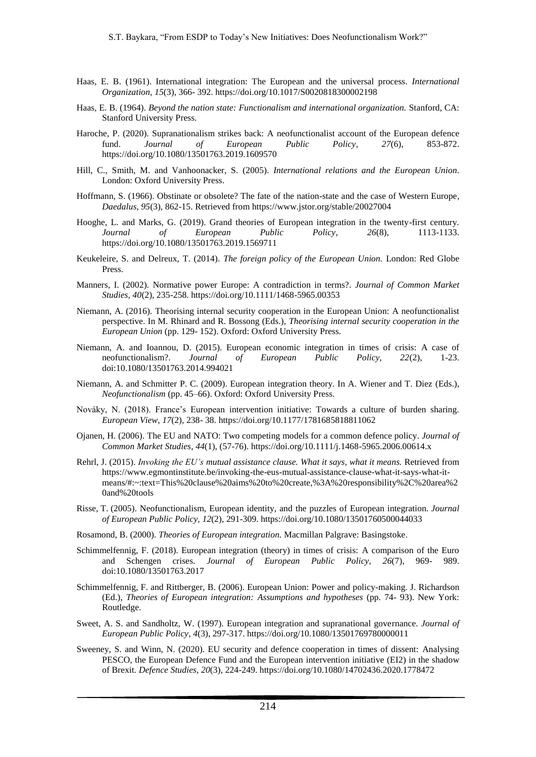- Haas, E. B. (1961). International integration: The European and the universal process. *International Organization, 15*(3), 366- 392. https://doi.org/10.1017/S0020818300002198
- Haas, E. B. (1964). *Beyond the nation state: Functionalism and international organization.* Stanford, CA: Stanford University Press.
- Haroche, P. (2020). Supranationalism strikes back: A neofunctionalist account of the European defence fund. *Journal of European Public Policy*, *27*(6), 853-872. https://doi.org/10.1080/13501763.2019.1609570
- Hill, C., Smith, M. and Vanhoonacker, S. (2005). *International relations and the European Union.* London: Oxford University Press.
- Hoffmann, S. (1966). Obstinate or obsolete? The fate of the nation-state and the case of Western Europe*, Daedalus, 95*(3), 862-15. Retrieved from https://www.jstor.org/stable/20027004
- Hooghe, L. and Marks, G. (2019). Grand theories of European integration in the twenty-first century. *Journal of European Public Policy*, *26*(8), 1113-1133. https://doi.org/10.1080/13501763.2019.1569711
- Keukeleire, S. and Delreux, T. (2014). *The foreign policy of the European Union.* London: Red Globe Press.
- Manners, I. (2002). Normative power Europe: A contradiction in terms?. *Journal of Common Market Studies, 40*(2), 235-258. https://doi.org/10.1111/1468-5965.00353
- Niemann, A. (2016). Theorising internal security cooperation in the European Union: A neofunctionalist perspective. In M. Rhinard and R. Bossong (Eds.), *Theorising internal security cooperation in the European Union* (pp. 129- 152). Oxford: Oxford University Press.
- Niemann, A. and Ioannou, D. (2015). European economic integration in times of crisis: A case of neofunctionalism?. *Journal of European Public Policy, 22*(2), 1-23. doi:10.1080/13501763.2014.994021
- Niemann, A. and Schmitter P. C. (2009). European integration theory. In A. Wiener and T. Diez (Eds.), *Neofunctionalism* (pp. 45–66). Oxford: Oxford University Press.
- Nováky, N. (2018). France's European intervention initiative: Towards a culture of burden sharing. *European View*, *17*(2), 238- 38. https://doi.org/10.1177/1781685818811062
- Ojanen, H. (2006). The EU and NATO: Two competing models for a common defence policy. *Journal of Common Market Studies*, *44*(1), (57-76). https://doi.org/10.1111/j.1468-5965.2006.00614.x
- Rehrl, J. (2015). *Invoking the EU's mutual assistance clause. What it says, what it means.* Retrieved from https://www.egmontinstitute.be/invoking-the-eus-mutual-assistance-clause-what-it-says-what-itmeans/#:~:text=This%20clause%20aims%20to%20create,%3A%20responsibility%2C%20area%2 0and%20tools
- Risse, T. (2005). Neofunctionalism, European identity, and the puzzles of European integration. *Journal of European Public Policy, 12*(2), 291-309. https://doi.org/10.1080/13501760500044033
- Rosamond, B. (2000). *Theories of European integration.* Macmillan Palgrave: Basingstoke.
- Schimmelfennig, F. (2018). European integration (theory) in times of crisis: A comparison of the Euro and Schengen crises. *Journal of European Public Policy, 26*(7), 969- 989. doi:10.1080/13501763.2017
- Schimmelfennig, F. and Rittberger, B. (2006). European Union: Power and policy-making. J. Richardson (Ed.), *Theories of European integration: Assumptions and hypotheses* (pp. 74- 93). New York: Routledge.
- Sweet, A. S. and Sandholtz, W. (1997). European integration and supranational governance. *Journal of European Public Policy*, *4*(3), 297-317. https://doi.org/10.1080/13501769780000011
- Sweeney, S. and Winn, N. (2020). EU security and defence cooperation in times of dissent: Analysing PESCO, the European Defence Fund and the European intervention initiative (EI2) in the shadow of Brexit. *Defence Studies*, *20*(3), 224-249. https://doi.org/10.1080/14702436.2020.1778472